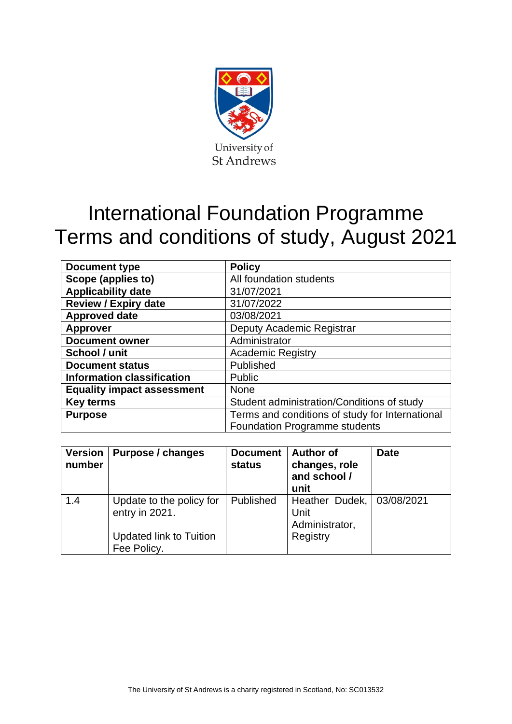

# International Foundation Programme Terms and conditions of study, August 2021

| <b>Document type</b>              | <b>Policy</b>                                   |  |  |
|-----------------------------------|-------------------------------------------------|--|--|
| Scope (applies to)                | All foundation students                         |  |  |
| <b>Applicability date</b>         | 31/07/2021                                      |  |  |
| <b>Review / Expiry date</b>       | 31/07/2022                                      |  |  |
| <b>Approved date</b>              | 03/08/2021                                      |  |  |
| <b>Approver</b>                   | Deputy Academic Registrar                       |  |  |
| <b>Document owner</b>             | Administrator                                   |  |  |
| School / unit                     | <b>Academic Registry</b>                        |  |  |
| <b>Document status</b>            | Published                                       |  |  |
| <b>Information classification</b> | Public                                          |  |  |
| <b>Equality impact assessment</b> | <b>None</b>                                     |  |  |
| <b>Key terms</b>                  | Student administration/Conditions of study      |  |  |
| <b>Purpose</b>                    | Terms and conditions of study for International |  |  |
|                                   | <b>Foundation Programme students</b>            |  |  |

| <b>Version</b><br>number | Purpose / changes                                                                           | <b>Document</b><br><b>status</b> | <b>Author of</b><br>changes, role<br>and school /<br>unit       | <b>Date</b> |
|--------------------------|---------------------------------------------------------------------------------------------|----------------------------------|-----------------------------------------------------------------|-------------|
| 1.4                      | Update to the policy for<br>entry in 2021.<br><b>Updated link to Tuition</b><br>Fee Policy. | Published                        | Heather Dudek, 03/08/2021<br>Unit<br>Administrator,<br>Registry |             |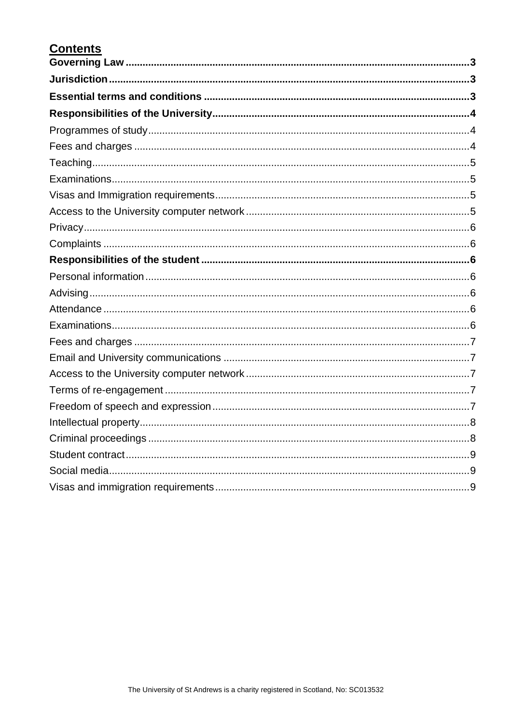# **Contents**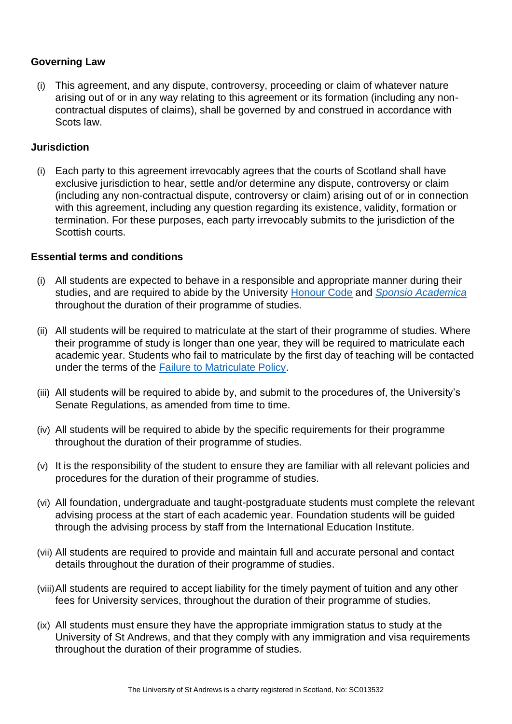# <span id="page-2-0"></span>**Governing Law**

(i) This agreement, and any dispute, controversy, proceeding or claim of whatever nature arising out of or in any way relating to this agreement or its formation (including any noncontractual disputes of claims), shall be governed by and construed in accordance with Scots law.

# <span id="page-2-1"></span>**Jurisdiction**

(i) Each party to this agreement irrevocably agrees that the courts of Scotland shall have exclusive jurisdiction to hear, settle and/or determine any dispute, controversy or claim (including any non-contractual dispute, controversy or claim) arising out of or in connection with this agreement, including any question regarding its existence, validity, formation or termination. For these purposes, each party irrevocably submits to the jurisdiction of the Scottish courts.

#### <span id="page-2-2"></span>**Essential terms and conditions**

- (i) All students are expected to behave in a responsible and appropriate manner during their studies, and are required to abide by the University [Honour Code](https://www.st-andrews.ac.uk/policy/student-administration-conditions-of-study/honour-code.pdf) and *[Sponsio Academica](https://www.st-andrews.ac.uk/students/rules/conductdiscipline/conduct/)* throughout the duration of their programme of studies.
- (ii) All students will be required to matriculate at the start of their programme of studies. Where their programme of study is longer than one year, they will be required to matriculate each academic year. Students who fail to matriculate by the first day of teaching will be contacted under the terms of the **Failure to Matriculate Policy**.
- (iii) All students will be required to abide by, and submit to the procedures of, the University's Senate Regulations, as amended from time to time.
- (iv) All students will be required to abide by the specific requirements for their programme throughout the duration of their programme of studies.
- (v) It is the responsibility of the student to ensure they are familiar with all relevant policies and procedures for the duration of their programme of studies.
- (vi) All foundation, undergraduate and taught-postgraduate students must complete the relevant advising process at the start of each academic year. Foundation students will be guided through the advising process by staff from the International Education Institute.
- (vii) All students are required to provide and maintain full and accurate personal and contact details throughout the duration of their programme of studies.
- (viii)All students are required to accept liability for the timely payment of tuition and any other fees for University services, throughout the duration of their programme of studies.
- (ix) All students must ensure they have the appropriate immigration status to study at the University of St Andrews, and that they comply with any immigration and visa requirements throughout the duration of their programme of studies.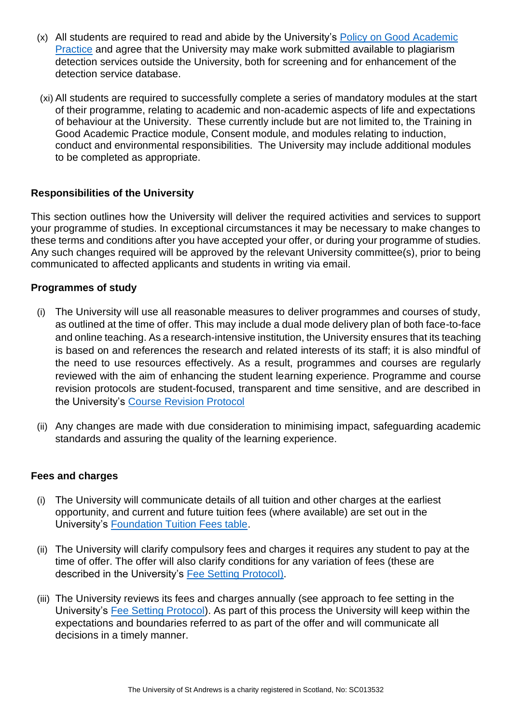- (x) All students are required to read and abide by the University's [Policy on Good Academic](https://www.st-andrews.ac.uk/media/teaching-and-learning/policies/GAP.pdf)  [Practice](https://www.st-andrews.ac.uk/media/teaching-and-learning/policies/GAP.pdf) and agree that the University may make work submitted available to plagiarism detection services outside the University, both for screening and for enhancement of the detection service database.
- (xi) All students are required to successfully complete a series of mandatory modules at the start of their programme, relating to academic and non-academic aspects of life and expectations of behaviour at the University. These currently include but are not limited to, the Training in Good Academic Practice module, Consent module, and modules relating to induction, conduct and environmental responsibilities. The University may include additional modules to be completed as appropriate.

# <span id="page-3-0"></span>**Responsibilities of the University**

This section outlines how the University will deliver the required activities and services to support your programme of studies. In exceptional circumstances it may be necessary to make changes to these terms and conditions after you have accepted your offer, or during your programme of studies. Any such changes required will be approved by the relevant University committee(s), prior to being communicated to affected applicants and students in writing via email.

#### <span id="page-3-1"></span>**Programmes of study**

- (i) The University will use all reasonable measures to deliver programmes and courses of study, as outlined at the time of offer. This may include a dual mode delivery plan of both face-to-face and online teaching. As a research-intensive institution, the University ensures that its teaching is based on and references the research and related interests of its staff; it is also mindful of the need to use resources effectively. As a result, programmes and courses are regularly reviewed with the aim of enhancing the student learning experience. Programme and course revision protocols are student-focused, transparent and time sensitive, and are described in the University's [Course Revision Protocol](https://www.st-andrews.ac.uk/policy/academic-policies-curriculum-curriculum-at-st-andrews/curriculum-at-st-andrews.pdf)
- (ii) Any changes are made with due consideration to minimising impact, safeguarding academic standards and assuring the quality of the learning experience.

#### <span id="page-3-2"></span>**Fees and charges**

- (i) The University will communicate details of all tuition and other charges at the earliest opportunity, and current and future tuition fees (where available) are set out in the University's [Foundation Tuition Fees table.](https://www.st-andrews.ac.uk/subjects/study-options/foundation/fees/)
- (ii) The University will clarify compulsory fees and charges it requires any student to pay at the time of offer. The offer will also clarify conditions for any variation of fees (these are described in the University's [Fee Setting Protocol\)](https://www.st-andrews.ac.uk/media/teaching-and-learning/policies/fee-setting-protocol.pdf).
- (iii) The University reviews its fees and charges annually (see approach to fee setting in the University's [Fee Setting Protocol\)](https://www.st-andrews.ac.uk/media/teaching-and-learning/policies/fee-setting-protocol.pdf). As part of this process the University will keep within the expectations and boundaries referred to as part of the offer and will communicate all decisions in a timely manner.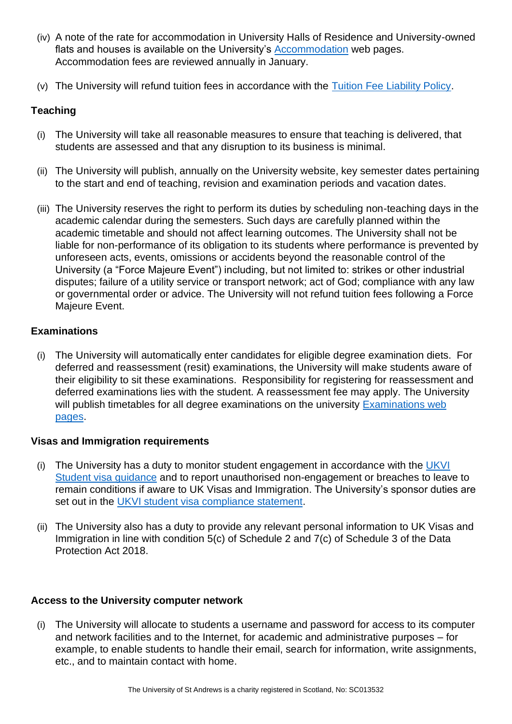- (iv) A note of the rate for accommodation in University Halls of Residence and University-owned flats and houses is available on the University's **Accommodation** web pages. Accommodation fees are reviewed annually in January.
- (v) The University will refund tuition fees in accordance with the [Tuition Fee Liability Policy.](https://www.st-andrews.ac.uk/policy/student-administration-tuition-fees/tuition-fee-liability-policy.pdf)

# <span id="page-4-0"></span>**Teaching**

- (i) The University will take all reasonable measures to ensure that teaching is delivered, that students are assessed and that any disruption to its business is minimal.
- (ii) The University will publish, annually on the University website, key semester dates pertaining to the start and end of teaching, revision and examination periods and vacation dates.
- (iii) The University reserves the right to perform its duties by scheduling non-teaching days in the academic calendar during the semesters. Such days are carefully planned within the academic timetable and should not affect learning outcomes. The University shall not be liable for non-performance of its obligation to its students where performance is prevented by unforeseen acts, events, omissions or accidents beyond the reasonable control of the University (a "Force Majeure Event") including, but not limited to: strikes or other industrial disputes; failure of a utility service or transport network; act of God; compliance with any law or governmental order or advice. The University will not refund tuition fees following a Force Majeure Event.

# <span id="page-4-1"></span>**Examinations**

(i) The University will automatically enter candidates for eligible degree examination diets. For deferred and reassessment (resit) examinations, the University will make students aware of their eligibility to sit these examinations. Responsibility for registering for reassessment and deferred examinations lies with the student. A reassessment fee may apply. The University will publish timetables for all degree examinations on the university Examinations web [pages.](https://www.st-andrews.ac.uk/students/advice/academic/exams/)

#### <span id="page-4-2"></span>**Visas and Immigration requirements**

- (i) The University has a duty to monitor student engagement in accordance with the [UKVI](https://assets.publishing.service.gov.uk/government/uploads/system/uploads/attachment_data/file/997895/Student_Sponsor_Guidance_-_Doc_2_-_Sponsorship_Duties_2021-07_FINAL.pdf)  [Student visa](https://assets.publishing.service.gov.uk/government/uploads/system/uploads/attachment_data/file/997895/Student_Sponsor_Guidance_-_Doc_2_-_Sponsorship_Duties_2021-07_FINAL.pdf) guidance and to report unauthorised non-engagement or breaches to leave to remain conditions if aware to UK Visas and Immigration. The University's sponsor duties are set out in the [UKVI student visa compliance statement.](https://www.st-andrews.ac.uk/policy/student-administration-conditions-of-study/ukvi-student-visa-compliance-statement.pdf)
- (ii) The University also has a duty to provide any relevant personal information to UK Visas and Immigration in line with condition 5(c) of Schedule 2 and 7(c) of Schedule 3 of the Data Protection Act 2018.

#### <span id="page-4-3"></span>**Access to the University computer network**

(i) The University will allocate to students a username and password for access to its computer and network facilities and to the Internet, for academic and administrative purposes – for example, to enable students to handle their email, search for information, write assignments, etc., and to maintain contact with home.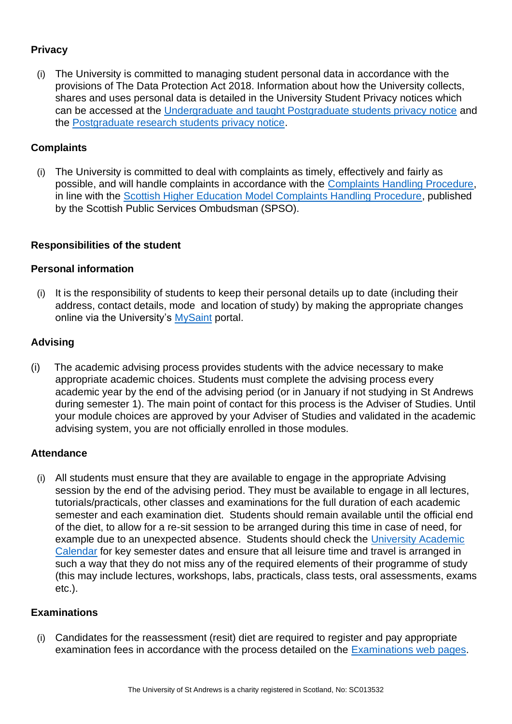# <span id="page-5-0"></span>**Privacy**

(i) The University is committed to managing student personal data in accordance with the provisions of The Data Protection Act 2018. Information about how the University collects, shares and uses personal data is detailed in the University Student Privacy notices which can be accessed at the [Undergraduate and taught Postgraduate students privacy notice](https://www.st-andrews.ac.uk/assets/university/data-protection/ug-pgt-privacy-notice.pdf) and the [Postgraduate research students privacy notice.](https://www.st-andrews.ac.uk/assets/university/data-protection/pgr-privacy-notice.pdf)

# <span id="page-5-1"></span>**Complaints**

(i) The University is committed to deal with complaints as timely, effectively and fairly as possible, and will handle complaints in accordance with the [Complaints Handling Procedure,](https://www.st-andrews.ac.uk/administration/complaints/) in line with the [Scottish Higher Education Model Complaints Handling Procedure,](https://www.spso.org.uk/the-model-complaints-handling-procedures) published by the Scottish Public Services Ombudsman (SPSO).

# <span id="page-5-2"></span>**Responsibilities of the student**

#### <span id="page-5-3"></span>**Personal information**

(i) It is the responsibility of students to keep their personal details up to date (including their address, contact details, mode and location of study) by making the appropriate changes online via the University's [MySaint](https://mysaint.st-andrews.ac.uk/uPortal/f/welcome/normal/render.uP) portal.

# <span id="page-5-4"></span>**Advising**

(i) The academic advising process provides students with the advice necessary to make appropriate academic choices. Students must complete the advising process every academic year by the end of the advising period (or in January if not studying in St Andrews during semester 1). The main point of contact for this process is the Adviser of Studies. Until your module choices are approved by your Adviser of Studies and validated in the academic advising system, you are not officially enrolled in those modules.

#### <span id="page-5-5"></span>**Attendance**

(i) All students must ensure that they are available to engage in the appropriate Advising session by the end of the advising period. They must be available to engage in all lectures, tutorials/practicals, other classes and examinations for the full duration of each academic semester and each examination diet. Students should remain available until the official end of the diet, to allow for a re-sit session to be arranged during this time in case of need, for example due to an unexpected absence. Students should check the [University Academic](https://www.st-andrews.ac.uk/semesterdates/)  [Calendar](https://www.st-andrews.ac.uk/semesterdates/) for key semester dates and ensure that all leisure time and travel is arranged in such a way that they do not miss any of the required elements of their programme of study (this may include lectures, workshops, labs, practicals, class tests, oral assessments, exams etc.).

#### <span id="page-5-6"></span>**Examinations**

(i) Candidates for the reassessment (resit) diet are required to register and pay appropriate examination fees in accordance with the process detailed on the **Examinations web pages**.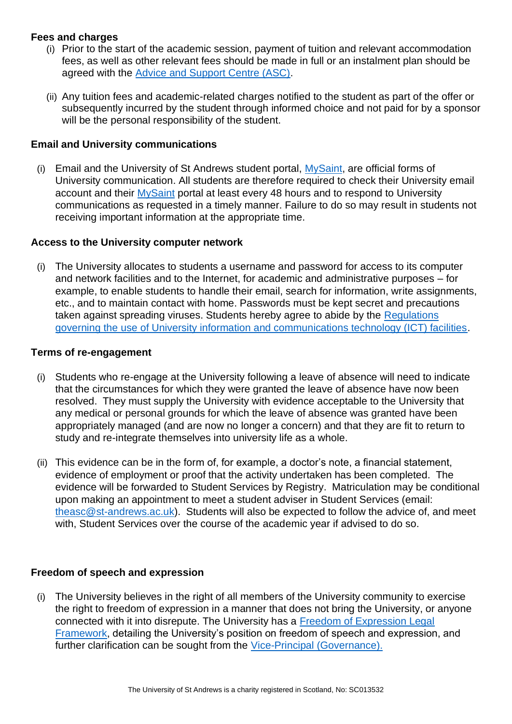# <span id="page-6-0"></span>**Fees and charges**

- (i) Prior to the start of the academic session, payment of tuition and relevant accommodation fees, as well as other relevant fees should be made in full or an instalment plan should be agreed with the [Advice and Support Centre \(ASC\).](https://www.st-andrews.ac.uk/students/advice/)
- (ii) Any tuition fees and academic-related charges notified to the student as part of the offer or subsequently incurred by the student through informed choice and not paid for by a sponsor will be the personal responsibility of the student.

# <span id="page-6-1"></span>**Email and University communications**

(i) Email and the University of St Andrews student portal,  $MvSaint$ , are official forms of University communication. All students are therefore required to check their University email account and their [MySaint](http://www.st-andrews.ac.uk/international/information/tier4students-oursharedresponsibilities/) portal at least every 48 hours and to respond to University communications as requested in a timely manner. Failure to do so may result in students not receiving important information at the appropriate time.

#### <span id="page-6-2"></span>**Access to the University computer network**

(i) The University allocates to students a username and password for access to its computer and network facilities and to the Internet, for academic and administrative purposes – for example, to enable students to handle their email, search for information, write assignments, etc., and to maintain contact with home. Passwords must be kept secret and precautions taken against spreading viruses. Students hereby agree to abide by the Regulations [governing the use of University information and communications technology \(ICT\) facilities](https://www.st-andrews.ac.uk/policy/information-technology/ict_regulations.pdf)[.](http://www.st-andrews.ac.uk/students/money/Tuitionfees/)

#### <span id="page-6-3"></span>**Terms of re-engagement**

- (i) Students who re-engage at the University following a leave of absence will need to indicate that the circumstances for which they were granted the leave of absence have now been resolved. They must supply the University with evidence acceptable to the University that any medical or personal grounds for which the leave of absence was granted have been appropriately managed (and are now no longer a concern) and that they are fit to return to study and re-integrate themselves into university life as a whole.
- (ii) This evidence can be in the form of, for example, a doctor's note, a financial statement, evidence of employment or proof that the activity undertaken has been completed. The evidence will be forwarded to Student Services by Registry. Matriculation may be conditional upon making an appointment to meet a student adviser in Student Services (email: [theasc@st-andrews.ac.uk\)](mailto:theasc@st-andrews.ac.uk). Students will also be expected to follow the advice of, and meet with, Student Services over the course of the academic year if advised to do so.

#### <span id="page-6-4"></span>**Freedom of speech and expression**

(i) The University believes in the right of all members of the University community to exercise the right to freedom of expression in a manner that does not bring the University, or anyone connected with it into disrepute. The University has a [Freedom of Expression Legal](https://www.st-andrews.ac.uk/hr/edi/equalityact/humanrights/)  [Framework,](https://www.st-andrews.ac.uk/hr/edi/equalityact/humanrights/) detailing the University's position on freedom of speech and expression, and further clarification can be sought from the [Vice-Principal \(Governance\).](https://www.st-andrews.ac.uk/about/governance/principals-office/governance/)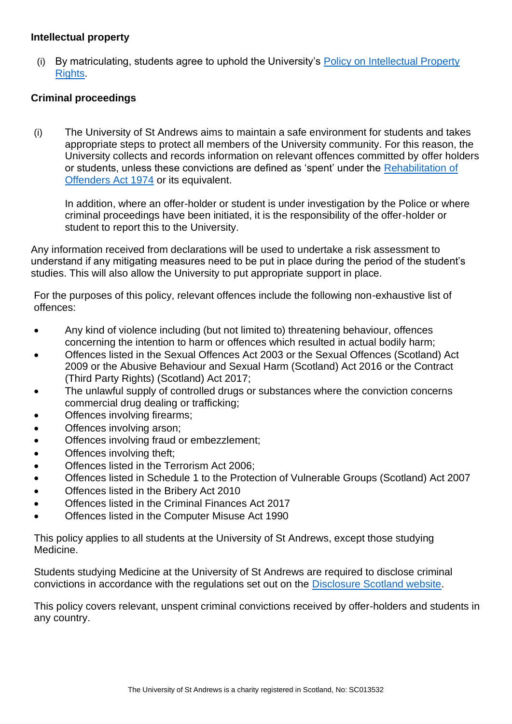#### <span id="page-7-0"></span>**Intellectual property**

(i) By matriculating, students agree to uphold the University's [Policy on Intellectual Property](https://www.st-andrews.ac.uk/policy/research-external-work/intellectual-property-policy.pdf)  [Rights.](https://www.st-andrews.ac.uk/policy/research-external-work/intellectual-property-policy.pdf)

# <span id="page-7-1"></span>**Criminal proceedings**

(i) The University of St Andrews aims to maintain a safe environment for students and takes appropriate steps to protect all members of the University community. For this reason, the University collects and records information on relevant offences committed by offer holders or students, unless these convictions are defined as 'spent' under the [Rehabilitation of](https://www.nacro.org.uk/resettlement-advice-service/support-for-individuals/disclosing-criminal-records/rehabilitation-offenders-act/)  [Offenders Act 1974](https://www.nacro.org.uk/resettlement-advice-service/support-for-individuals/disclosing-criminal-records/rehabilitation-offenders-act/) or its equivalent.

In addition, where an offer-holder or student is under investigation by the Police or where criminal proceedings have been initiated, it is the responsibility of the offer-holder or student to report this to the University.

Any information received from declarations will be used to undertake a risk assessment to understand if any mitigating measures need to be put in place during the period of the student's studies. This will also allow the University to put appropriate support in place.

For the purposes of this policy, relevant offences include the following non-exhaustive list of offences:

- Any kind of violence including (but not limited to) threatening behaviour, offences concerning the intention to harm or offences which resulted in actual bodily harm;
- Offences listed in the Sexual Offences Act 2003 or the Sexual Offences (Scotland) Act 2009 or the Abusive Behaviour and Sexual Harm (Scotland) Act 2016 or the Contract (Third Party Rights) (Scotland) Act 2017;
- The unlawful supply of controlled drugs or substances where the conviction concerns commercial drug dealing or trafficking;
- Offences involving firearms;
- Offences involving arson;
- Offences involving fraud or embezzlement;
- Offences involving theft;
- Offences listed in the Terrorism Act 2006:
- Offences listed in Schedule 1 to the Protection of Vulnerable Groups (Scotland) Act 2007
- Offences listed in the Bribery Act 2010
- Offences listed in the Criminal Finances Act 2017
- Offences listed in the Computer Misuse Act 1990

This policy applies to all students at the University of St Andrews, except those studying Medicine.

Students studying Medicine at the University of St Andrews are required to disclose criminal convictions in accordance with the regulations set out on the [Disclosure Scotland website.](https://www.mygov.scot/disclosure-types/?via=http://www.disclosurescotland.co.uk/)

This policy covers relevant, unspent criminal convictions received by offer-holders and students in any country.